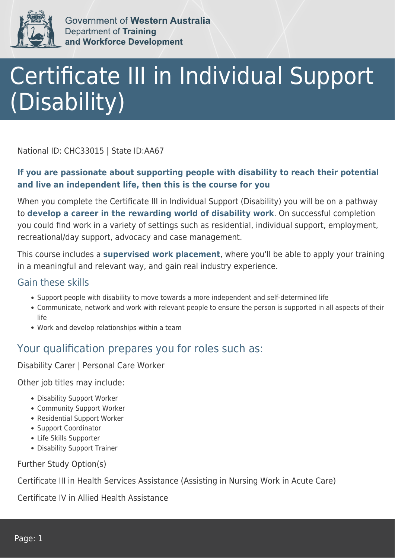

Government of Western Australia Department of Training and Workforce Development

# Certificate III in Individual Support (Disability)

National ID: CHC33015 | State ID:AA67

#### **If you are passionate about supporting people with disability to reach their potential and live an independent life, then this is the course for you**

When you complete the Certificate III in Individual Support (Disability) you will be on a pathway to **develop a career in the rewarding world of disability work**. On successful completion you could find work in a variety of settings such as residential, individual support, employment, recreational/day support, advocacy and case management.

This course includes a **supervised work placement**, where you'll be able to apply your training in a meaningful and relevant way, and gain real industry experience.

#### Gain these skills

- Support people with disability to move towards a more independent and self-determined life
- Communicate, network and work with relevant people to ensure the person is supported in all aspects of their life
- Work and develop relationships within a team

### Your qualification prepares you for roles such as:

Disability Carer | Personal Care Worker

Other job titles may include:

- Disability Support Worker
- Community Support Worker
- Residential Support Worker
- Support Coordinator
- Life Skills Supporter
- Disability Support Trainer

Further Study Option(s)

Certificate III in Health Services Assistance (Assisting in Nursing Work in Acute Care)

Certificate IV in Allied Health Assistance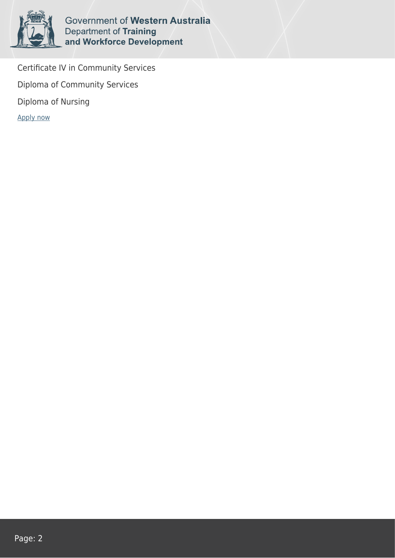

Government of Western Australia Department of Training and Workforce Development

Certificate IV in Community Services Diploma of Community Services Diploma of Nursing [Apply now](https://tasonline.tafe.wa.edu.au/Default.aspx)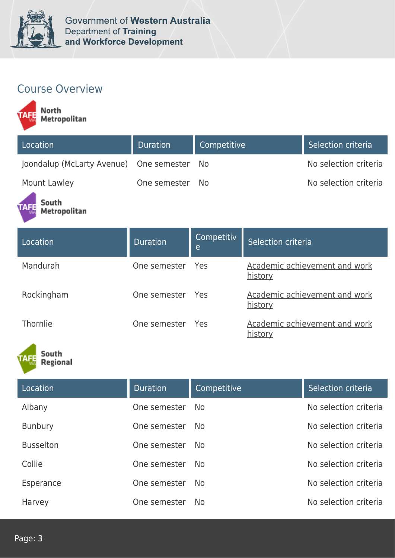

## Course Overview



| Location                                | <b>Duration</b> | Competitive | Selection criteria    |
|-----------------------------------------|-----------------|-------------|-----------------------|
| Joondalup (McLarty Avenue) One semester |                 | - No        | No selection criteria |
| <b>Mount Lawley</b>                     | One semester    | - No        | No selection criteria |

South Metropolitan

| Location   | <b>Duration</b>  | Competitiv<br>e | Selection criteria                       |
|------------|------------------|-----------------|------------------------------------------|
| Mandurah   | One semester Yes |                 | Academic achievement and work<br>history |
| Rockingham | One semester Yes |                 | Academic achievement and work<br>history |
| Thornlie   | One semester     | - Yes           | Academic achievement and work<br>history |

South<br>Regional

| Location         | <b>Duration</b> | Competitive    | Selection criteria    |
|------------------|-----------------|----------------|-----------------------|
| Albany           | One semester    | <b>No</b>      | No selection criteria |
| <b>Bunbury</b>   | One semester    | <b>No</b>      | No selection criteria |
| <b>Busselton</b> | One semester    | No.            | No selection criteria |
| Collie           | One semester    | N <sub>o</sub> | No selection criteria |
| Esperance        | One semester    | N <sub>o</sub> | No selection criteria |
| Harvey           | One semester    | N <sub>o</sub> | No selection criteria |